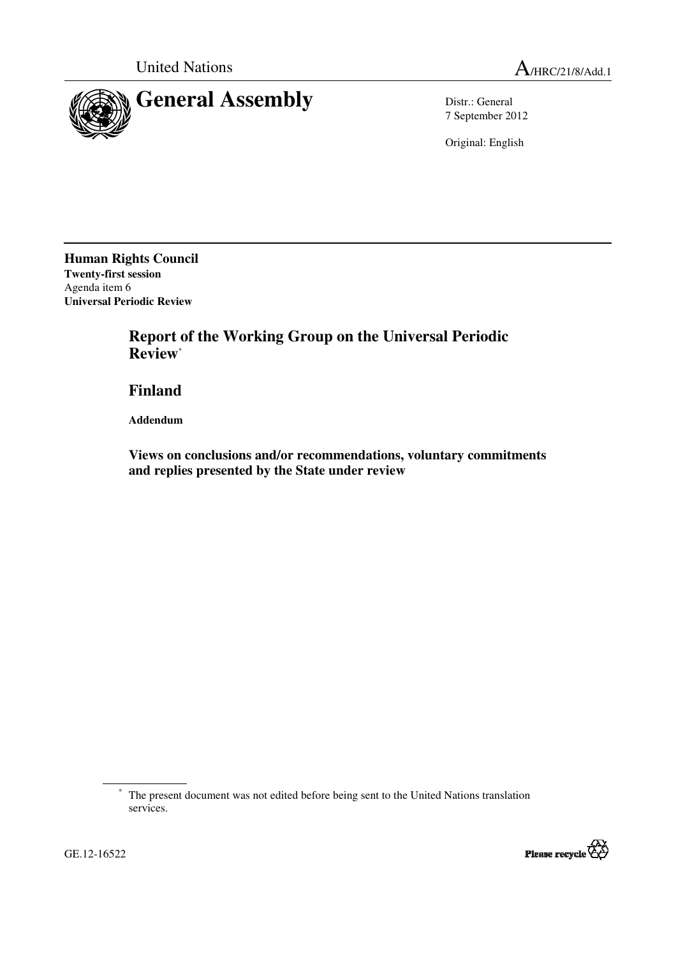

7 September 2012

Original: English

**Human Rights Council Twenty-first session**  Agenda item 6 **Universal Periodic Review** 

> **Report of the Working Group on the Universal Periodic Review**\*

 **Finland** 

 **Addendum** 

GE.12-16522

 **Views on conclusions and/or recommendations, voluntary commitments and replies presented by the State under review** 

<sup>\*</sup> The present document was not edited before being sent to the United Nations translation services.



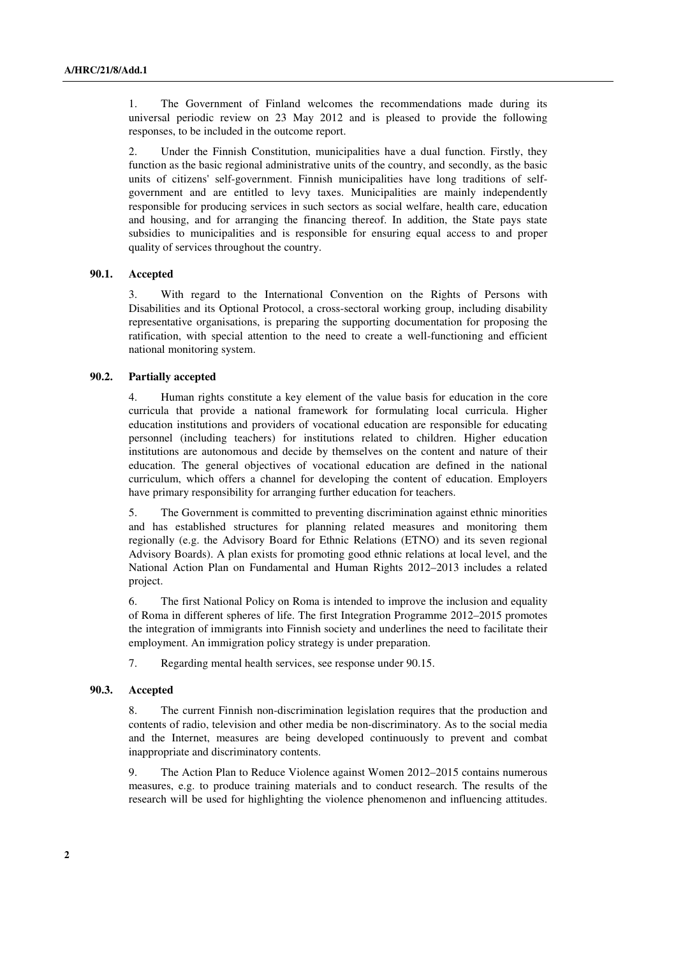1. The Government of Finland welcomes the recommendations made during its universal periodic review on 23 May 2012 and is pleased to provide the following responses, to be included in the outcome report.

2. Under the Finnish Constitution, municipalities have a dual function. Firstly, they function as the basic regional administrative units of the country, and secondly, as the basic units of citizens' self-government. Finnish municipalities have long traditions of selfgovernment and are entitled to levy taxes. Municipalities are mainly independently responsible for producing services in such sectors as social welfare, health care, education and housing, and for arranging the financing thereof. In addition, the State pays state subsidies to municipalities and is responsible for ensuring equal access to and proper quality of services throughout the country.

# **90.1. Accepted**

3. With regard to the International Convention on the Rights of Persons with Disabilities and its Optional Protocol, a cross-sectoral working group, including disability representative organisations, is preparing the supporting documentation for proposing the ratification, with special attention to the need to create a well-functioning and efficient national monitoring system.

# **90.2. Partially accepted**

4. Human rights constitute a key element of the value basis for education in the core curricula that provide a national framework for formulating local curricula. Higher education institutions and providers of vocational education are responsible for educating personnel (including teachers) for institutions related to children. Higher education institutions are autonomous and decide by themselves on the content and nature of their education. The general objectives of vocational education are defined in the national curriculum, which offers a channel for developing the content of education. Employers have primary responsibility for arranging further education for teachers.

5. The Government is committed to preventing discrimination against ethnic minorities and has established structures for planning related measures and monitoring them regionally (e.g. the Advisory Board for Ethnic Relations (ETNO) and its seven regional Advisory Boards). A plan exists for promoting good ethnic relations at local level, and the National Action Plan on Fundamental and Human Rights 2012–2013 includes a related project.

6. The first National Policy on Roma is intended to improve the inclusion and equality of Roma in different spheres of life. The first Integration Programme 2012–2015 promotes the integration of immigrants into Finnish society and underlines the need to facilitate their employment. An immigration policy strategy is under preparation.

7. Regarding mental health services, see response under 90.15.

# **90.3. Accepted**

8. The current Finnish non-discrimination legislation requires that the production and contents of radio, television and other media be non-discriminatory. As to the social media and the Internet, measures are being developed continuously to prevent and combat inappropriate and discriminatory contents.

9. The Action Plan to Reduce Violence against Women 2012–2015 contains numerous measures, e.g. to produce training materials and to conduct research. The results of the research will be used for highlighting the violence phenomenon and influencing attitudes.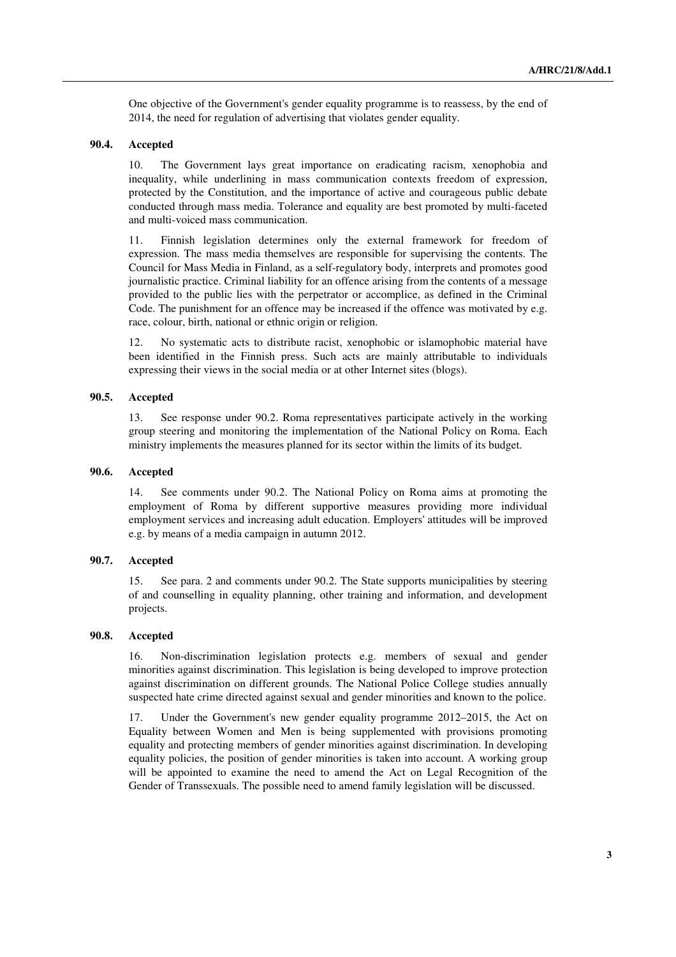One objective of the Government's gender equality programme is to reassess, by the end of 2014, the need for regulation of advertising that violates gender equality.

# **90.4. Accepted**

10. The Government lays great importance on eradicating racism, xenophobia and inequality, while underlining in mass communication contexts freedom of expression, protected by the Constitution, and the importance of active and courageous public debate conducted through mass media. Tolerance and equality are best promoted by multi-faceted and multi-voiced mass communication.

11. Finnish legislation determines only the external framework for freedom of expression. The mass media themselves are responsible for supervising the contents. The Council for Mass Media in Finland, as a self-regulatory body, interprets and promotes good journalistic practice. Criminal liability for an offence arising from the contents of a message provided to the public lies with the perpetrator or accomplice, as defined in the Criminal Code. The punishment for an offence may be increased if the offence was motivated by e.g. race, colour, birth, national or ethnic origin or religion.

12. No systematic acts to distribute racist, xenophobic or islamophobic material have been identified in the Finnish press. Such acts are mainly attributable to individuals expressing their views in the social media or at other Internet sites (blogs).

# **90.5. Accepted**

13. See response under 90.2. Roma representatives participate actively in the working group steering and monitoring the implementation of the National Policy on Roma. Each ministry implements the measures planned for its sector within the limits of its budget.

#### **90.6. Accepted**

14. See comments under 90.2. The National Policy on Roma aims at promoting the employment of Roma by different supportive measures providing more individual employment services and increasing adult education. Employers' attitudes will be improved e.g. by means of a media campaign in autumn 2012.

# **90.7. Accepted**

15. See para. 2 and comments under 90.2. The State supports municipalities by steering of and counselling in equality planning, other training and information, and development projects.

#### **90.8. Accepted**

16. Non-discrimination legislation protects e.g. members of sexual and gender minorities against discrimination. This legislation is being developed to improve protection against discrimination on different grounds. The National Police College studies annually suspected hate crime directed against sexual and gender minorities and known to the police.

17. Under the Government's new gender equality programme 2012–2015, the Act on Equality between Women and Men is being supplemented with provisions promoting equality and protecting members of gender minorities against discrimination. In developing equality policies, the position of gender minorities is taken into account. A working group will be appointed to examine the need to amend the Act on Legal Recognition of the Gender of Transsexuals. The possible need to amend family legislation will be discussed.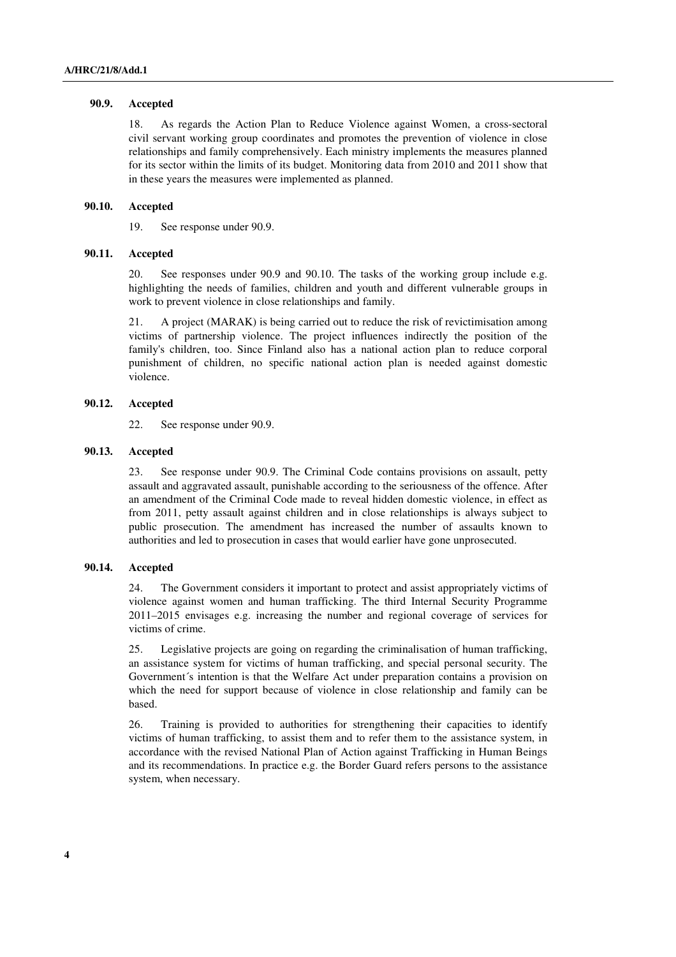#### **90.9. Accepted**

18. As regards the Action Plan to Reduce Violence against Women, a cross-sectoral civil servant working group coordinates and promotes the prevention of violence in close relationships and family comprehensively. Each ministry implements the measures planned for its sector within the limits of its budget. Monitoring data from 2010 and 2011 show that in these years the measures were implemented as planned.

# **90.10. Accepted**

19. See response under 90.9.

# **90.11. Accepted**

20. See responses under 90.9 and 90.10. The tasks of the working group include e.g. highlighting the needs of families, children and youth and different vulnerable groups in work to prevent violence in close relationships and family.

21. A project (MARAK) is being carried out to reduce the risk of revictimisation among victims of partnership violence. The project influences indirectly the position of the family's children, too. Since Finland also has a national action plan to reduce corporal punishment of children, no specific national action plan is needed against domestic violence.

# **90.12. Accepted**

22. See response under 90.9.

### **90.13. Accepted**

23. See response under 90.9. The Criminal Code contains provisions on assault, petty assault and aggravated assault, punishable according to the seriousness of the offence. After an amendment of the Criminal Code made to reveal hidden domestic violence, in effect as from 2011, petty assault against children and in close relationships is always subject to public prosecution. The amendment has increased the number of assaults known to authorities and led to prosecution in cases that would earlier have gone unprosecuted.

#### **90.14. Accepted**

24. The Government considers it important to protect and assist appropriately victims of violence against women and human trafficking. The third Internal Security Programme 2011–2015 envisages e.g. increasing the number and regional coverage of services for victims of crime.

25. Legislative projects are going on regarding the criminalisation of human trafficking, an assistance system for victims of human trafficking, and special personal security. The Government´s intention is that the Welfare Act under preparation contains a provision on which the need for support because of violence in close relationship and family can be based.

26. Training is provided to authorities for strengthening their capacities to identify victims of human trafficking, to assist them and to refer them to the assistance system, in accordance with the revised National Plan of Action against Trafficking in Human Beings and its recommendations. In practice e.g. the Border Guard refers persons to the assistance system, when necessary.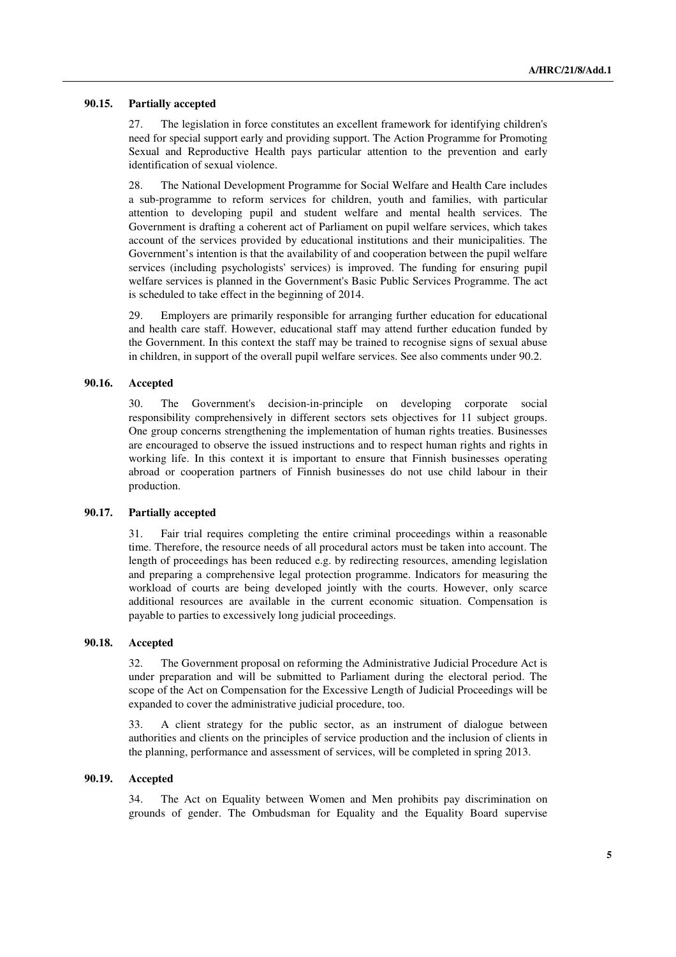#### **90.15. Partially accepted**

27. The legislation in force constitutes an excellent framework for identifying children's need for special support early and providing support. The Action Programme for Promoting Sexual and Reproductive Health pays particular attention to the prevention and early identification of sexual violence.

28. The National Development Programme for Social Welfare and Health Care includes a sub-programme to reform services for children, youth and families, with particular attention to developing pupil and student welfare and mental health services. The Government is drafting a coherent act of Parliament on pupil welfare services, which takes account of the services provided by educational institutions and their municipalities. The Government's intention is that the availability of and cooperation between the pupil welfare services (including psychologists' services) is improved. The funding for ensuring pupil welfare services is planned in the Government's Basic Public Services Programme. The act is scheduled to take effect in the beginning of 2014.

29. Employers are primarily responsible for arranging further education for educational and health care staff. However, educational staff may attend further education funded by the Government. In this context the staff may be trained to recognise signs of sexual abuse in children, in support of the overall pupil welfare services. See also comments under 90.2.

# **90.16. Accepted**

30. The Government's decision-in-principle on developing corporate social responsibility comprehensively in different sectors sets objectives for 11 subject groups. One group concerns strengthening the implementation of human rights treaties. Businesses are encouraged to observe the issued instructions and to respect human rights and rights in working life. In this context it is important to ensure that Finnish businesses operating abroad or cooperation partners of Finnish businesses do not use child labour in their production.

#### **90.17. Partially accepted**

31. Fair trial requires completing the entire criminal proceedings within a reasonable time. Therefore, the resource needs of all procedural actors must be taken into account. The length of proceedings has been reduced e.g. by redirecting resources, amending legislation and preparing a comprehensive legal protection programme. Indicators for measuring the workload of courts are being developed jointly with the courts. However, only scarce additional resources are available in the current economic situation. Compensation is payable to parties to excessively long judicial proceedings.

### **90.18. Accepted**

32. The Government proposal on reforming the Administrative Judicial Procedure Act is under preparation and will be submitted to Parliament during the electoral period. The scope of the Act on Compensation for the Excessive Length of Judicial Proceedings will be expanded to cover the administrative judicial procedure, too.

33. A client strategy for the public sector, as an instrument of dialogue between authorities and clients on the principles of service production and the inclusion of clients in the planning, performance and assessment of services, will be completed in spring 2013.

# **90.19. Accepted**

34. The Act on Equality between Women and Men prohibits pay discrimination on grounds of gender. The Ombudsman for Equality and the Equality Board supervise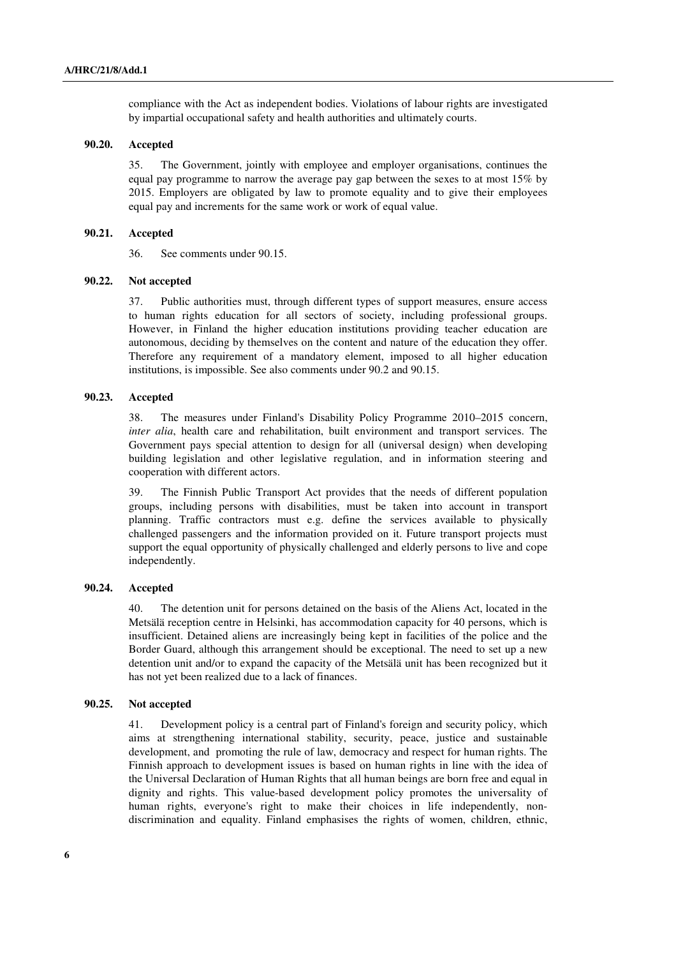compliance with the Act as independent bodies. Violations of labour rights are investigated by impartial occupational safety and health authorities and ultimately courts.

# **90.20. Accepted**

35. The Government, jointly with employee and employer organisations, continues the equal pay programme to narrow the average pay gap between the sexes to at most 15% by 2015. Employers are obligated by law to promote equality and to give their employees equal pay and increments for the same work or work of equal value.

# **90.21. Accepted**

36. See comments under 90.15.

# **90.22. Not accepted**

37. Public authorities must, through different types of support measures, ensure access to human rights education for all sectors of society, including professional groups. However, in Finland the higher education institutions providing teacher education are autonomous, deciding by themselves on the content and nature of the education they offer. Therefore any requirement of a mandatory element, imposed to all higher education institutions, is impossible. See also comments under 90.2 and 90.15.

# **90.23. Accepted**

38. The measures under Finland's Disability Policy Programme 2010–2015 concern, *inter alia*, health care and rehabilitation, built environment and transport services. The Government pays special attention to design for all (universal design) when developing building legislation and other legislative regulation, and in information steering and cooperation with different actors.

39. The Finnish Public Transport Act provides that the needs of different population groups, including persons with disabilities, must be taken into account in transport planning. Traffic contractors must e.g. define the services available to physically challenged passengers and the information provided on it. Future transport projects must support the equal opportunity of physically challenged and elderly persons to live and cope independently.

# **90.24. Accepted**

40. The detention unit for persons detained on the basis of the Aliens Act, located in the Metsälä reception centre in Helsinki, has accommodation capacity for 40 persons, which is insufficient. Detained aliens are increasingly being kept in facilities of the police and the Border Guard, although this arrangement should be exceptional. The need to set up a new detention unit and/or to expand the capacity of the Metsälä unit has been recognized but it has not yet been realized due to a lack of finances.

#### **90.25. Not accepted**

41. Development policy is a central part of Finland's foreign and security policy, which aims at strengthening international stability, security, peace, justice and sustainable development, and promoting the rule of law, democracy and respect for human rights. The Finnish approach to development issues is based on human rights in line with the idea of the Universal Declaration of Human Rights that all human beings are born free and equal in dignity and rights. This value-based development policy promotes the universality of human rights, everyone's right to make their choices in life independently, nondiscrimination and equality. Finland emphasises the rights of women, children, ethnic,